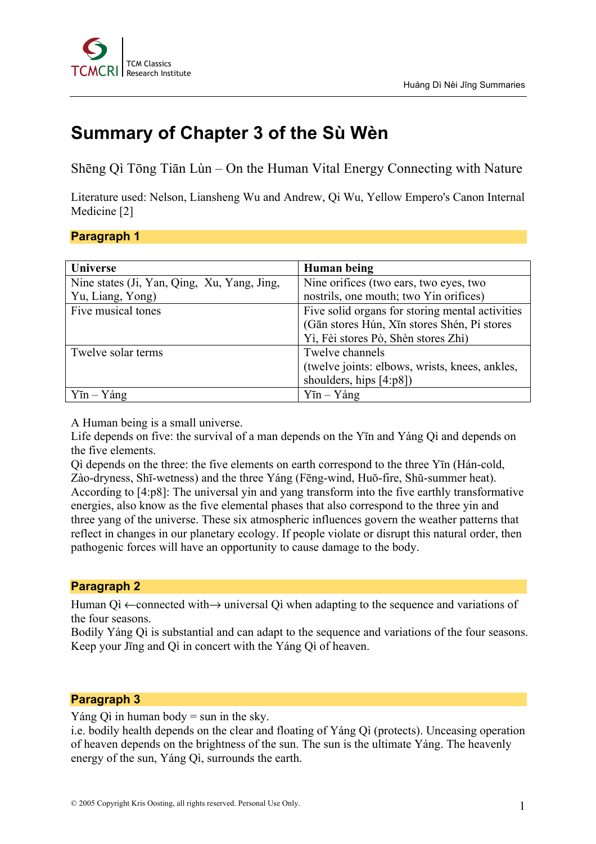

# **Summary of Chapter 3 of the Sù Wèn**

Shēng Qì Tōng Tiān Lùn – On the Human Vital Energy Connecting with Nature

Literature used: Nelson, Liansheng Wu and Andrew, Qi Wu, Yellow Empero's Canon Internal Medicine [2]

# **Paragraph 1**

| <b>Universe</b>                             | Human being                                     |
|---------------------------------------------|-------------------------------------------------|
| Nine states (Ji, Yan, Qing, Xu, Yang, Jing, | Nine orifices (two ears, two eyes, two          |
| Yu, Liang, Yong)                            | nostrils, one mouth; two Yin orifices)          |
| Five musical tones                          | Five solid organs for storing mental activities |
|                                             | (Gān stores Hún, Xīn stores Shén, Pí stores     |
|                                             | Yì, Fèi stores Pò, Shèn stores Zhì)             |
| Twelve solar terms                          | Twelve channels                                 |
|                                             | (twelve joints: elbows, wrists, knees, ankles,  |
|                                             | shoulders, hips $[4:p8]$                        |
| $Y\bar{\text{m}} - Y\hat{\text{ang}}$       | $Y\bar{\text{m}} - Y\hat{\text{ang}}$           |

A Human being is a small universe.

Life depends on five: the survival of a man depends on the Yīn and Yáng Qì and depends on the five elements.

Qì depends on the three: the five elements on earth correspond to the three Yīn (Hán-cold, Zào-dryness, Shī-wetness) and the three Yáng (Fēng-wind, Huŏ-fire, Shŭ-summer heat). According to [4:p8]: The universal yin and yang transform into the five earthly transformative energies, also know as the five elemental phases that also correspond to the three yin and three yang of the universe. These six atmospheric influences govern the weather patterns that reflect in changes in our planetary ecology. If people violate or disrupt this natural order, then pathogenic forces will have an opportunity to cause damage to the body.

# **Paragraph 2**

Human Qì ←connected with→ universal Qì when adapting to the sequence and variations of the four seasons.

Bodily Yáng Qì is substantial and can adapt to the sequence and variations of the four seasons. Keep your Jīng and Qì in concert with the Yáng Qì of heaven.

# **Paragraph 3**

Yáng Qì in human body  $=$  sun in the sky.

i.e. bodily health depends on the clear and floating of Yáng Qì (protects). Unceasing operation of heaven depends on the brightness of the sun. The sun is the ultimate Yáng. The heavenly energy of the sun, Yáng Qì, surrounds the earth.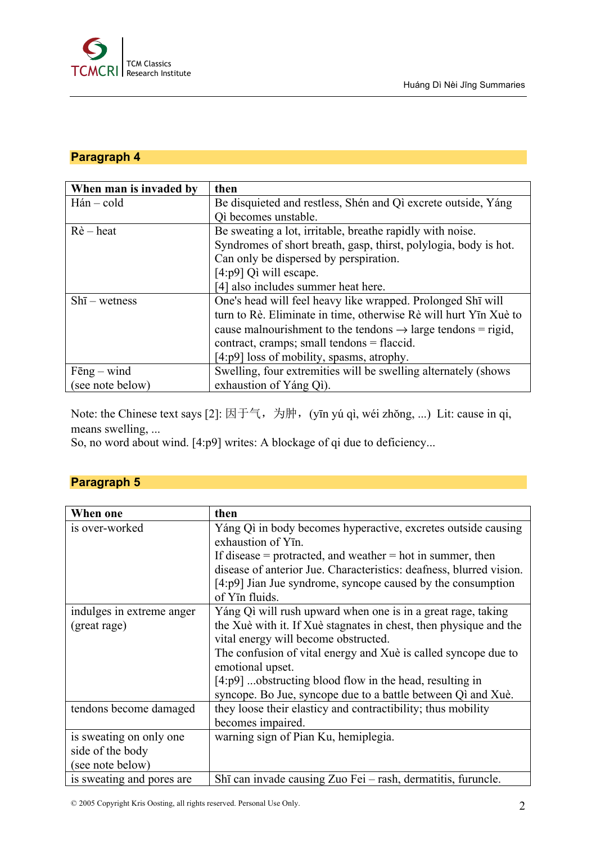

# **Paragraph 4**

| When man is invaded by | then                                                                     |
|------------------------|--------------------------------------------------------------------------|
| $H$ án – cold          | Be disquieted and restless, Shén and Qì excrete outside, Yáng            |
|                        | Qì becomes unstable.                                                     |
| $R\hat{e}$ – heat      | Be sweating a lot, irritable, breathe rapidly with noise.                |
|                        | Syndromes of short breath, gasp, thirst, polylogia, body is hot.         |
|                        | Can only be dispersed by perspiration.                                   |
|                        | [4:p9] Qì will escape.                                                   |
|                        | [4] also includes summer heat here.                                      |
| $Sh\bar{1}$ – wetness  | One's head will feel heavy like wrapped. Prolonged Shī will              |
|                        | turn to Rè. Eliminate in time, otherwise Rè will hurt Yīn Xuè to         |
|                        | cause malnourishment to the tendons $\rightarrow$ large tendons = rigid, |
|                        | contract, cramps; small tendons = flaccid.                               |
|                        | $[4:p9]$ loss of mobility, spasms, atrophy.                              |
| $F\bar{e}ng - wind$    | Swelling, four extremities will be swelling alternately (shows           |
| (see note below)       | exhaustion of Yáng Qi).                                                  |

Note: the Chinese text says [2]: 因于气, 为肿, (yīn yú qì, wéi zhǒng, ...) Lit: cause in qi, means swelling, ...

So, no word about wind. [4:p9] writes: A blockage of qi due to deficiency...

# **Paragraph 5**

| When one                  | then                                                                |
|---------------------------|---------------------------------------------------------------------|
| is over-worked            | Yáng Qì in body becomes hyperactive, excretes outside causing       |
|                           | exhaustion of Y <sub>I</sub> n.                                     |
|                           | If disease $=$ protracted, and weather $=$ hot in summer, then      |
|                           | disease of anterior Jue. Characteristics: deafness, blurred vision. |
|                           | $[4:p9]$ Jian Jue syndrome, syncope caused by the consumption       |
|                           | of Yīn fluids.                                                      |
| indulges in extreme anger | Yáng Qì will rush upward when one is in a great rage, taking        |
| (great rage)              | the Xuè with it. If Xuè stagnates in chest, then physique and the   |
|                           | vital energy will become obstructed.                                |
|                           | The confusion of vital energy and Xuè is called syncope due to      |
|                           | emotional upset.                                                    |
|                           | $[4:p9]$ obstructing blood flow in the head, resulting in           |
|                           | syncope. Bo Jue, syncope due to a battle between Qi and Xuè.        |
| tendons become damaged    | they loose their elasticy and contractibility; thus mobility        |
|                           | becomes impaired.                                                   |
| is sweating on only one   | warning sign of Pian Ku, hemiplegia.                                |
| side of the body          |                                                                     |
| (see note below)          |                                                                     |
| is sweating and pores are | Shī can invade causing Zuo Fei - rash, dermatitis, furuncle.        |

© 2005 Copyright Kris Oosting, all rights reserved. Personal Use Only. 2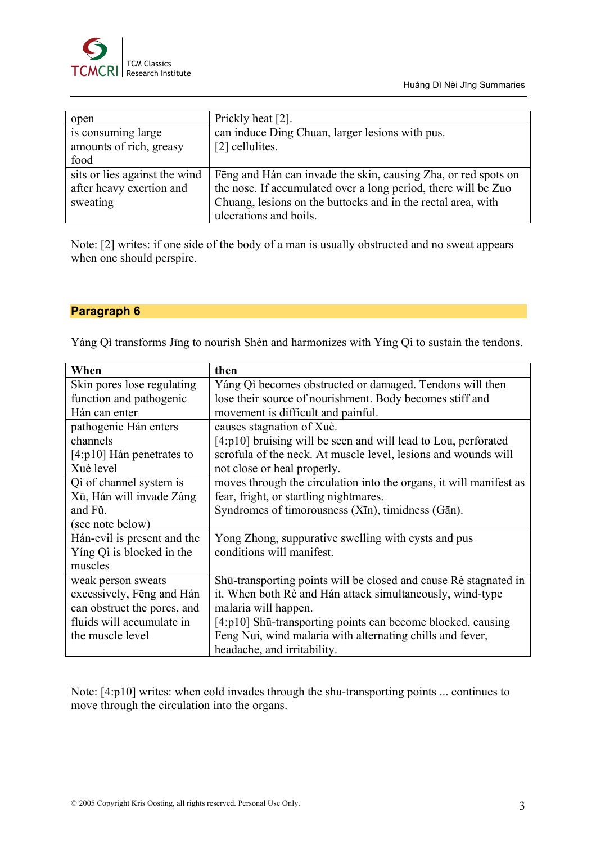

| open                          | Prickly heat [2].                                              |
|-------------------------------|----------------------------------------------------------------|
| is consuming large            | can induce Ding Chuan, larger lesions with pus.                |
| amounts of rich, greasy       | [2] cellulites.                                                |
| food                          |                                                                |
| sits or lies against the wind | Fēng and Hán can invade the skin, causing Zha, or red spots on |
| after heavy exertion and      | the nose. If accumulated over a long period, there will be Zuo |
| sweating                      | Chuang, lesions on the buttocks and in the rectal area, with   |
|                               | ulcerations and boils.                                         |

Note: [2] writes: if one side of the body of a man is usually obstructed and no sweat appears when one should perspire.

#### **Paragraph 6**

Yáng Qì transforms Jīng to nourish Shén and harmonizes with Yíng Qì to sustain the tendons.

| When                        | then                                                               |
|-----------------------------|--------------------------------------------------------------------|
| Skin pores lose regulating  | Yáng Qi becomes obstructed or damaged. Tendons will then           |
| function and pathogenic     | lose their source of nourishment. Body becomes stiff and           |
| Hán can enter               | movement is difficult and painful.                                 |
| pathogenic Hán enters       | causes stagnation of Xuè.                                          |
| channels                    | $[4:p10]$ bruising will be seen and will lead to Lou, perforated   |
| $[4:p10]$ Hán penetrates to | scrofula of the neck. At muscle level, lesions and wounds will     |
| Xuè level                   | not close or heal properly.                                        |
| Qì of channel system is     | moves through the circulation into the organs, it will manifest as |
| Xū, Hán will invade Zàng    | fear, fright, or startling nightmares.                             |
| and Fŭ.                     | Syndromes of timorousness (Xīn), timidness (Gān).                  |
| (see note below)            |                                                                    |
| Hán-evil is present and the | Yong Zhong, suppurative swelling with cysts and pus                |
| Ying Qi is blocked in the   | conditions will manifest.                                          |
| muscles                     |                                                                    |
| weak person sweats          | Shū-transporting points will be closed and cause Rè stagnated in   |
| excessively, Feng and Hán   | it. When both Rè and Hán attack simultaneously, wind-type          |
| can obstruct the pores, and | malaria will happen.                                               |
| fluids will accumulate in   | [4:p10] Shū-transporting points can become blocked, causing        |
| the muscle level            | Feng Nui, wind malaria with alternating chills and fever,          |
|                             | headache, and irritability.                                        |

Note: [4:p10] writes: when cold invades through the shu-transporting points ... continues to move through the circulation into the organs.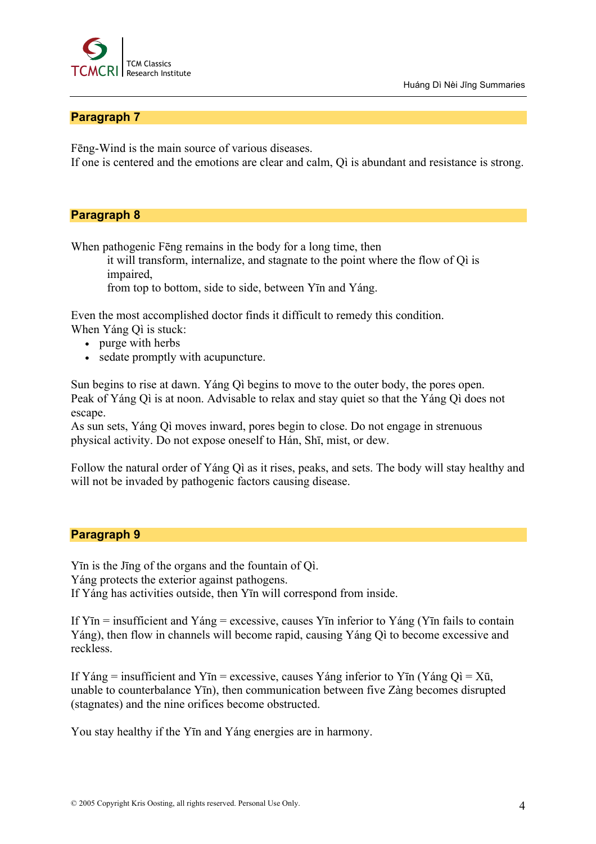

### **Paragraph 7**

Fēng-Wind is the main source of various diseases.

If one is centered and the emotions are clear and calm, Qì is abundant and resistance is strong.

#### **Paragraph 8**

When pathogenic Fēng remains in the body for a long time, then

it will transform, internalize, and stagnate to the point where the flow of Qì is impaired,

from top to bottom, side to side, between Yīn and Yáng.

Even the most accomplished doctor finds it difficult to remedy this condition.

- When Yáng Qì is stuck:
	- purge with herbs
	- sedate promptly with acupuncture.

Sun begins to rise at dawn. Yáng Qì begins to move to the outer body, the pores open. Peak of Yáng Qì is at noon. Advisable to relax and stay quiet so that the Yáng Qì does not escape.

As sun sets, Yáng Qì moves inward, pores begin to close. Do not engage in strenuous physical activity. Do not expose oneself to Hán, Shī, mist, or dew.

Follow the natural order of Yáng Qì as it rises, peaks, and sets. The body will stay healthy and will not be invaded by pathogenic factors causing disease.

# **Paragraph 9**

Yīn is the Jīng of the organs and the fountain of Qì. Yáng protects the exterior against pathogens. If Yáng has activities outside, then Yīn will correspond from inside.

If  $Y\bar{\text{in}}$  = insufficient and  $Y\acute{\text{an}}$  = excessive, causes  $Y\bar{\text{in}}$  inferior to  $Y\acute{\text{an}}$  ( $Y\bar{\text{in}}$  fails to contain Yáng), then flow in channels will become rapid, causing Yáng Qì to become excessive and reckless.

If Yáng = insufficient and Yīn = excessive, causes Yáng inferior to Yīn (Yáng Qì = Xū, unable to counterbalance Yīn), then communication between five Zàng becomes disrupted (stagnates) and the nine orifices become obstructed.

You stay healthy if the Yīn and Yáng energies are in harmony.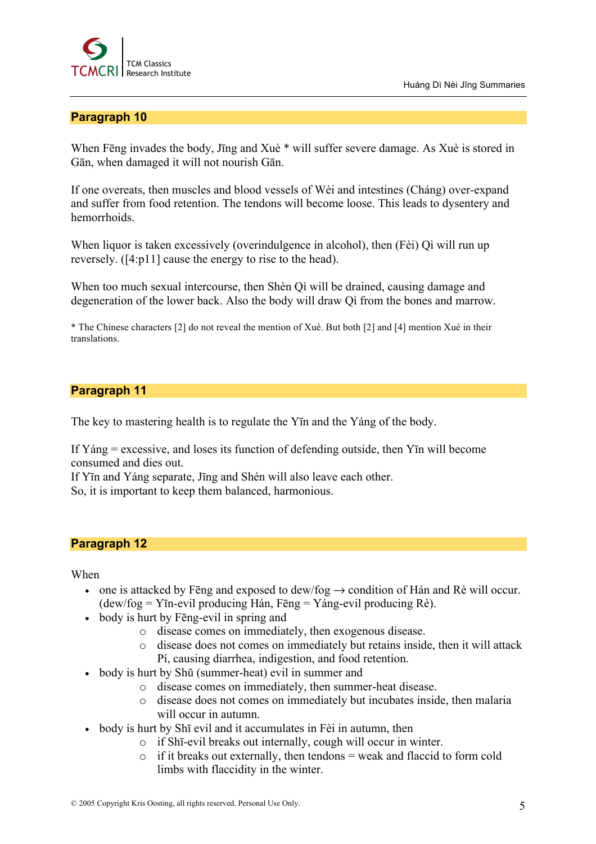

Huáng Dì Nèi Jīng Summaries

# **Paragraph 10**

When Fēng invades the body, Jīng and Xuè \* will suffer severe damage. As Xuè is stored in Gān, when damaged it will not nourish Gān.

If one overeats, then muscles and blood vessels of Wèi and intestines (Cháng) over-expand and suffer from food retention. The tendons will become loose. This leads to dysentery and hemorrhoids.

When liquor is taken excessively (overindulgence in alcohol), then (Fèi) Qì will run up reversely. ([4:p11] cause the energy to rise to the head).

When too much sexual intercourse, then Shèn Qì will be drained, causing damage and degeneration of the lower back. Also the body will draw Qì from the bones and marrow.

\* The Chinese characters [2] do not reveal the mention of Xuè. But both [2] and [4] mention Xuè in their translations.

#### **Paragraph 11**

The key to mastering health is to regulate the Yīn and the Yáng of the body.

If Yáng = excessive, and loses its function of defending outside, then Yīn will become consumed and dies out.

If Yīn and Yáng separate, Jīng and Shén will also leave each other.

So, it is important to keep them balanced, harmonious.

#### **Paragraph 12**

When

- one is attacked by Feng and exposed to dew/fog  $\rightarrow$  condition of Hán and Rè will occur. (dew/fog = Yīn-evil producing Hán, Fēng = Yáng-evil producing Rè).
- body is hurt by Feng-evil in spring and
	- o disease comes on immediately, then exogenous disease.
	- o disease does not comes on immediately but retains inside, then it will attack Pí, causing diarrhea, indigestion, and food retention.
- body is hurt by Shŭ (summer-heat) evil in summer and
	- o disease comes on immediately, then summer-heat disease.
	- o disease does not comes on immediately but incubates inside, then malaria will occur in autumn.
- body is hurt by Shī evil and it accumulates in Fèi in autumn, then
	- o if Shī-evil breaks out internally, cough will occur in winter.
	- $\circ$  if it breaks out externally, then tendons = weak and flaccid to form cold limbs with flaccidity in the winter.